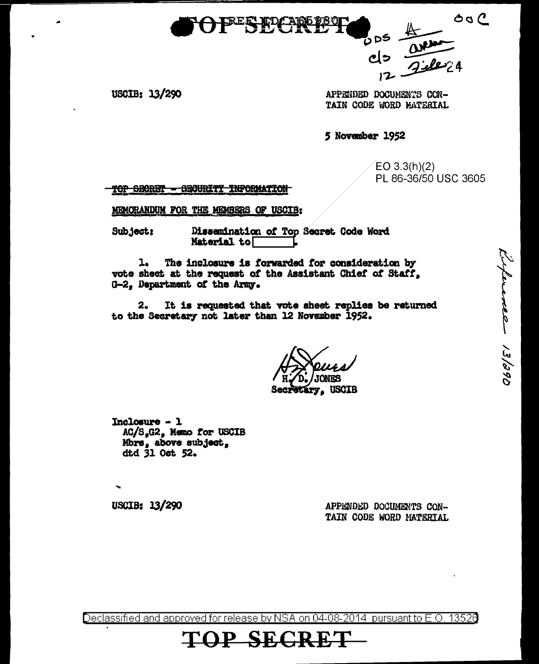

 $O$   $O$ 90 ن

USCIB: 13/290

APPENDED DOCUMENTS CON-TAIN CODE WORD MATERIAL

5 November 1952

 $EO 3.3(h)(2)$ PL 86-36/50 USC 3605

Experiment 13/290

TOP SECRET **- GEGURITY INFORMATION** 

MEMORANDUM FOR THE MEMBERS OF USCIB:

Subject: Dissemination of Top Secret Code Word Material to

The inclosure is forwarded for consideration by  $\mathbf{L}$ vote sheet at the request of the Assistant Chief of Staff. G-2. Department of the Army.

 $2<sub>o</sub>$ It is requested that vote sheet replies be returned to the Secretary not later than 12 November 1952.

**USCIB** 

 $Inc{}<sub>lo</sub>  $-1$$ AC/S.G2, Memo for USCIB Mbrs, above subject, dtd 31 Oct 52.

USCIB: 13/290

APPENDED DOCUMENTS CON-TAIN CODE WORD MATERIAL

Declassified and approved for release by NSA on 04-08-2014 pursuant to E.O. 13526

**SECR**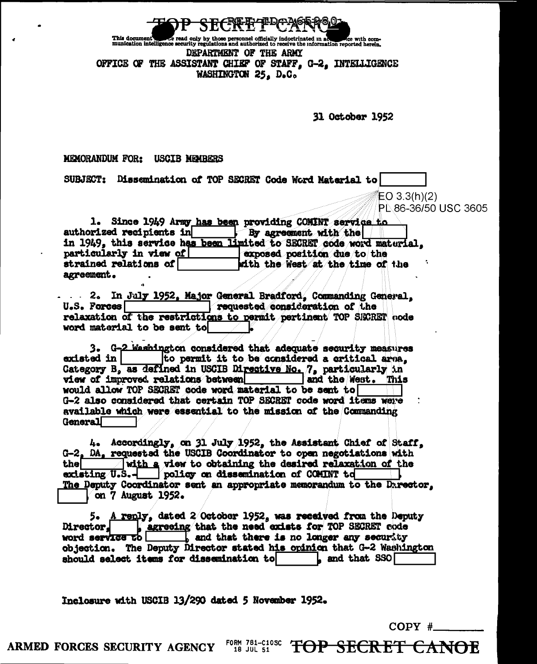

This document<br>munication intelligence security regulations and authorized to receive the information reported herein, DEPARTMENT OF THE ARMY OFFICE OF THE ASSISTANT CHIEF OF STAFF. G-2. INTELLIGENCE WASHINGTON 25. D.C.

31 October 1952

 $EO 3.3(h)(2)$ 

MEMORANDUM FOR: USCIB MEMBERS

SUBJECT: Dissemination of TOP SECRET Code Word Material to

PI 86-36/50 USC 3605 1. Since 1949 Army has been providing COMINT service to authorized recipients in By agreement with the in 1949, this service has been limited to SECRET code word material.

particularly in view of exposed position due to the strained relations of with the West at the time of the agreement.

2. In July 1952, Major General Bradford, Commanding General,  $U.S.$  Forces  $\Box$ Pequested consideration of the relaxation of the restrictions to permit pertinent TOP SECRET node word material to be sent to

3. G-2 Washington considered that adequate security measures existed in to permit it to be considered a critical area. Category B. as defined in USCIB Directive No. 7, particularly in view of improved relations between and the West. This would allow TOP SECRET code word material to be sent to G-2 also considered that certain TOP SECRET code word items were available which were essential to the mission of the Commanding General

4. Accordingly, on 31 July 1952, the Assistant Chief of Staff, G-2. DA. requested the USCIB Coordinator to open negotiations with  $\sqrt{$  with a view to obtaining the desired relaxation of the thel existing U.S.- policy on dissemination of COMINT to The Deputy Coordinator sent an appropriate memorandum to the Darector. on 7 August 1952.

5. A reply, dated 2 October 1952, was received from the Deputy Director, <u>increasing</u> that the need exists for TOP SECRET code word service to objection. The Deputy Director stated his opinion that G-2 Washington should select items for dissemination to  $\mathsf{L}\ \ \text{and\ that\ } \text{SSO}\big[$ 

Inclosure with USCIB 13/290 dated 5 November 1952.

 $COPY \#$ 

**TOP SECRET CANOE** 

FORM 781-C10SC ARMED FORCES SECURITY AGENCY 18 JUL 51